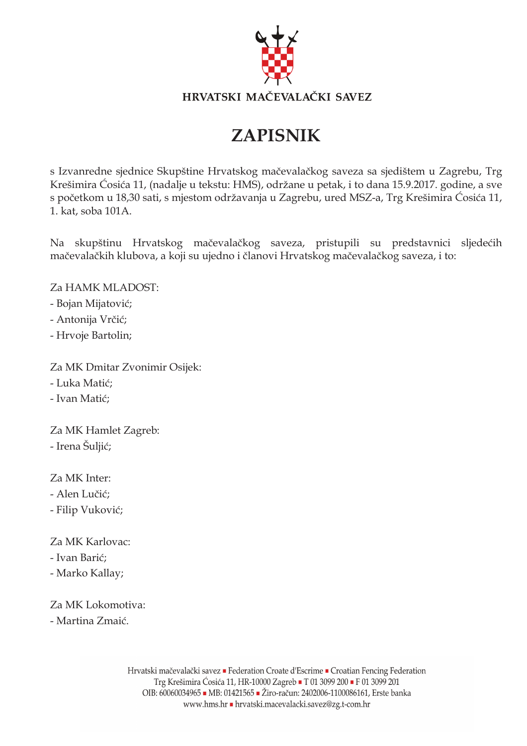

# **ZAPISNIK**

s Izvanredne sjednice Skupštine Hrvatskog mačevalačkog saveza sa sjedištem u Zagrebu, Trg Krešimira Ćosića 11, (nadalje u tekstu: HMS), održane u petak, i to dana 15.9.2017. godine, a sve s početkom u 18,30 sati, s mjestom održavanja u Zagrebu, ured MSZ-a, Trg Krešimira Ćosića 11, 1. kat. soba 101A.

Na skupštinu Hrvatskog mačevalačkog saveza, pristupili su predstavnici sljedećih mačevalačkih klubova, a koji su ujedno i članovi Hrvatskog mačevalačkog saveza, i to:

Za HAMK MLADOST:

- Bojan Mijatović;

- Antonija Vrčić;

- Hrvoje Bartolin;

Za MK Dmitar Zvonimir Osijek:

- Luka Matić;

- Ivan Matić;

Za MK Hamlet Zagreb: - Irena Šuljić;

Za MK Inter:

- Alen Lučić;

- Filip Vuković;

Za MK Karlovac:

- Ivan Barić:

- Marko Kallay;

Za MK Lokomotiva:

- Martina Zmaić.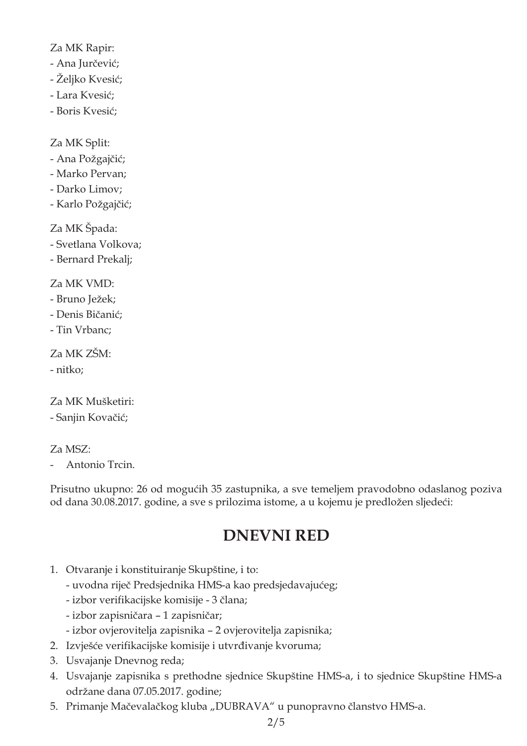Za MK Rapir:

- Ana Jurčević;
- Željko Kvesić;
- Lara Kvesić;
- Boris Kvesić;

Za MK Split:

- Ana Požgajčić;
- Marko Pervan;
- Darko Limov;
- Karlo Požgajčić;

Za MK Špada:

- Svetlana Volkova;
- Bernard Prekalj;

Za MK VMD:

- Bruno Ježek;
- Denis Bičanić;
- Tin Vrbanc;

Za MK ZŠM:

- nitko;

Za MK Mušketiri:

- Sanjin Kovačić;

## Za MSZ:

Antonio Trcin.

Prisutno ukupno: 26 od mogućih 35 zastupnika, a sve temeljem pravodobno odaslanog poziva od dana 30.08.2017. godine, a sve s prilozima istome, a u kojemu je predložen sljedeći:

## **DNEVNI RED**

- 1. Otvaranje i konstituiranje Skupštine, i to:
	- uvodna riječ Predsjednika HMS-a kao predsjedavajućeg;
	- izbor verifikacijske komisije 3 člana;
	- izbor zapisničara 1 zapisničar;
	- izbor ovjerovitelja zapisnika 2 ovjerovitelja zapisnika;
- 2. Izvješće verifikacijske komisije i utvrđivanje kvoruma;
- 3. Usvajanje Dnevnog reda;
- 4. Usvajanje zapisnika s prethodne sjednice Skupštine HMS-a, i to sjednice Skupštine HMS-a održane dana 07.05.2017. godine;
- 5. Primanje Mačevalačkog kluba "DUBRAVA" u punopravno članstvo HMS-a.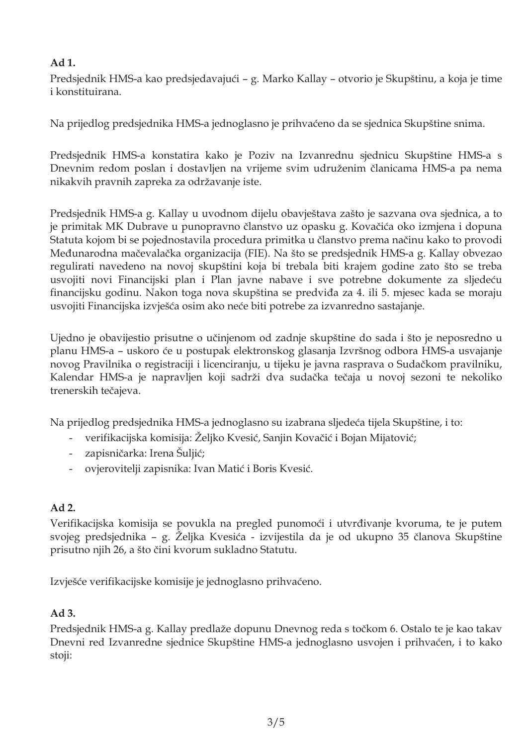#### Ad 1.

Predsjednik HMS-a kao predsjedavajući - g. Marko Kallay - otvorio je Skupštinu, a koja je time i konstituirana.

Na prijedlog predsjednika HMS-a jednoglasno je prihvaćeno da se sjednica Skupštine snima.

Predsjednik HMS-a konstatira kako je Poziv na Izvanrednu sjednicu Skupštine HMS-a s Dnevnim redom poslan i dostavljen na vrijeme svim udruženim članicama HMS-a pa nema nikakvih pravnih zapreka za održavanje iste.

Predsjednik HMS-a g. Kallay u uvodnom dijelu obavještava zašto je sazvana ova sjednica, a to je primitak MK Dubrave u punopravno članstvo uz opasku g. Kovačića oko izmjena i dopuna Statuta kojom bi se pojednostavila procedura primitka u članstvo prema načinu kako to provodi Međunarodna mačevalačka organizacija (FIE). Na što se predsjednik HMS-a g. Kallay obvezao regulirati navedeno na novoj skupštini koja bi trebala biti krajem godine zato što se treba usvojiti novi Financijski plan i Plan javne nabave i sve potrebne dokumente za sljedeću financijsku godinu. Nakon toga nova skupština se predviđa za 4. ili 5. mjesec kada se moraju usvojiti Financijska izvješća osim ako neće biti potrebe za izvanredno sastajanje.

Ujedno je obavijestio prisutne o učinjenom od zadnje skupštine do sada i što je neposredno u planu HMS-a - uskoro će u postupak elektronskog glasanja Izvršnog odbora HMS-a usvajanje novog Pravilnika o registraciji i licenciranju, u tijeku je javna rasprava o Sudačkom pravilniku, Kalendar HMS-a je napravljen koji sadrži dva sudačka tečaja u novoj sezoni te nekoliko trenerskih tečajeva.

Na prijedlog predsjednika HMS-a jednoglasno su izabrana sljedeća tijela Skupštine, i to:

- verifikacijska komisija: Željko Kvesić, Sanjin Kovačić i Bojan Mijatović;
- zapisničarka: Irena Šuljić;  $\sim$
- ovjerovitelji zapisnika: Ivan Matić i Boris Kvesić.

#### Ad 2.

Verifikacijska komisija se povukla na pregled punomoći i utvrđivanje kvoruma, te je putem svojeg predsjednika – g. Željka Kvesića - izvijestila da je od ukupno 35 članova Skupštine prisutno njih 26, a što čini kvorum sukladno Statutu.

Izvješće verifikacijske komisije je jednoglasno prihvaćeno.

#### $Ad3.$

Predsjednik HMS-a g. Kallay predlaže dopunu Dnevnog reda s točkom 6. Ostalo te je kao takav Dnevni red Izvanredne sjednice Skupštine HMS-a jednoglasno usvojen i prihvaćen, i to kako stoji: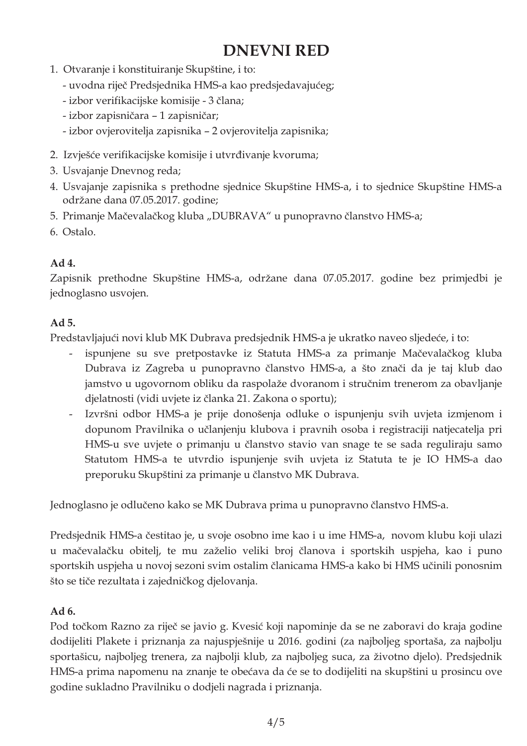## **DNEVNI RED**

- 1. Otvaranje i konstituiranje Skupštine, i to:
	- uvodna riječ Predsjednika HMS-a kao predsjedavajućeg;
	- izbor verifikacijske komisije 3 člana;
	- izbor zapisničara 1 zapisničar;
	- izbor ovjerovitelja zapisnika 2 ovjerovitelja zapisnika;
- 2. Izvješće verifikacijske komisije i utvrđivanje kvoruma;
- 3. Usvajanje Dnevnog reda;
- 4. Usvajanje zapisnika s prethodne sjednice Skupštine HMS-a, i to sjednice Skupštine HMS-a održane dana 07.05.2017. godine;
- 5. Primanje Mačevalačkog kluba "DUBRAVA" u punopravno članstvo HMS-a;
- 6. Ostalo.

## Ad 4.

Zapisnik prethodne Skupštine HMS-a, održane dana 07.05.2017. godine bez primjedbi je jednoglasno usvojen.

## Ad 5.

Predstavljajući novi klub MK Dubrava predsjednik HMS-a je ukratko naveo sljedeće, i to:

- ispunjene su sve pretpostavke iz Statuta HMS-a za primanje Mačevalačkog kluba  $\overline{\phantom{0}}$ Dubrava iz Zagreba u punopravno članstvo HMS-a, a što znači da je taj klub dao jamstvo u ugovornom obliku da raspolaže dvoranom i stručnim trenerom za obavljanje djelatnosti (vidi uvjete iz članka 21. Zakona o sportu);
- Izvršni odbor HMS-a je prije donošenja odluke o ispunjenju svih uvjeta izmjenom i  $\omega$  . dopunom Pravilnika o učlanjenju klubova i pravnih osoba i registraciji natjecatelja pri HMS-u sve uvjete o primanju u članstvo stavio van snage te se sada reguliraju samo Statutom HMS-a te utvrdio ispunjenje svih uvjeta iz Statuta te je IO HMS-a dao preporuku Skupštini za primanje u članstvo MK Dubrava.

Jednoglasno je odlučeno kako se MK Dubrava prima u punopravno članstvo HMS-a.

Predsjednik HMS-a čestitao je, u svoje osobno ime kao i u ime HMS-a, novom klubu koji ulazi u mačevalačku obitelj, te mu zaželio veliki broj članova i sportskih uspjeha, kao i puno sportskih uspjeha u novoj sezoni svim ostalim članicama HMS-a kako bi HMS učinili ponosnim što se tiče rezultata i zajedničkog djelovanja.

## Ad 6.

Pod točkom Razno za riječ se javio g. Kvesić koji napominje da se ne zaboravi do kraja godine dodijeliti Plakete i priznanja za najuspješnije u 2016. godini (za najboljeg sportaša, za najbolju sportašicu, najboljeg trenera, za najbolji klub, za najboljeg suca, za životno djelo). Predsjednik HMS-a prima napomenu na znanje te obećava da će se to dodijeliti na skupštini u prosincu ove godine sukladno Pravilniku o dodjeli nagrada i priznanja.